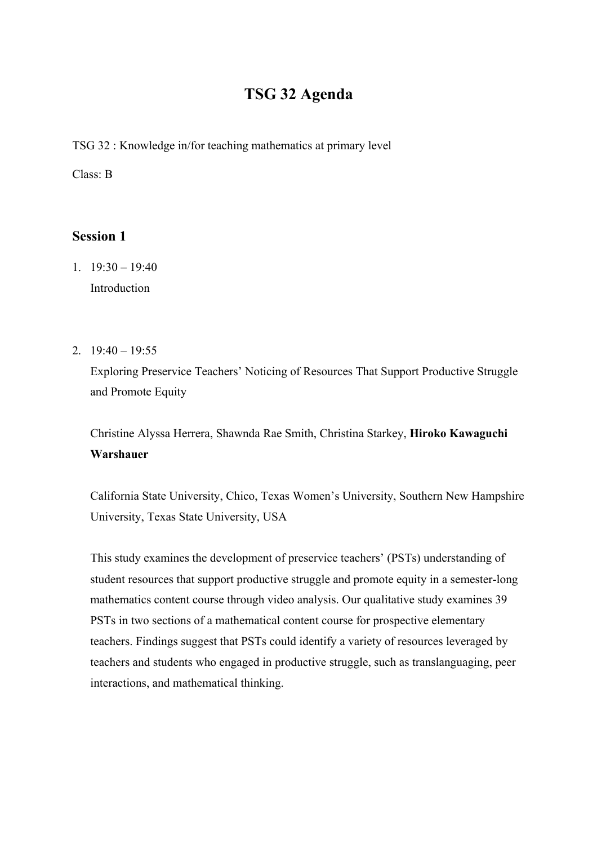# **TSG 32 Agenda**

TSG 32 : Knowledge in/for teaching mathematics at primary level

Class: B

# **Session 1**

- 1.  $19:30 19:40$ Introduction
- 2.  $19:40 19:55$

Exploring Preservice Teachers' Noticing of Resources That Support Productive Struggle and Promote Equity

Christine Alyssa Herrera, Shawnda Rae Smith, Christina Starkey, **Hiroko Kawaguchi Warshauer**

California State University, Chico, Texas Women's University, Southern New Hampshire University, Texas State University, USA

This study examines the development of preservice teachers' (PSTs) understanding of student resources that support productive struggle and promote equity in a semester-long mathematics content course through video analysis. Our qualitative study examines 39 PSTs in two sections of a mathematical content course for prospective elementary teachers. Findings suggest that PSTs could identify a variety of resources leveraged by teachers and students who engaged in productive struggle, such as translanguaging, peer interactions, and mathematical thinking.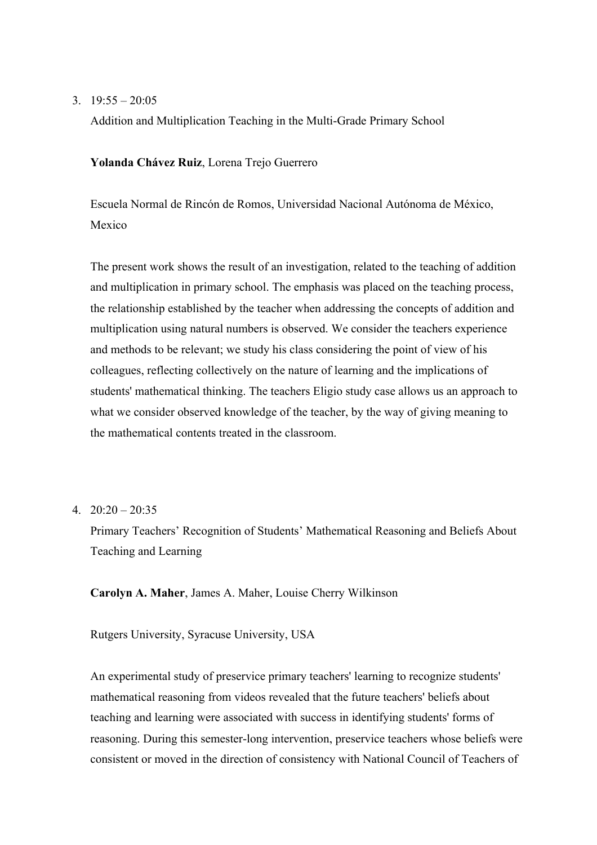#### 3.  $19:55 - 20:05$

Addition and Multiplication Teaching in the Multi-Grade Primary School

**Yolanda Chávez Ruiz**, Lorena Trejo Guerrero

Escuela Normal de Rincón de Romos, Universidad Nacional Autónoma de México, Mexico

The present work shows the result of an investigation, related to the teaching of addition and multiplication in primary school. The emphasis was placed on the teaching process, the relationship established by the teacher when addressing the concepts of addition and multiplication using natural numbers is observed. We consider the teachers experience and methods to be relevant; we study his class considering the point of view of his colleagues, reflecting collectively on the nature of learning and the implications of students' mathematical thinking. The teachers Eligio study case allows us an approach to what we consider observed knowledge of the teacher, by the way of giving meaning to the mathematical contents treated in the classroom.

4.  $20:20 - 20:35$ 

Primary Teachers' Recognition of Students' Mathematical Reasoning and Beliefs About Teaching and Learning

**Carolyn A. Maher**, James A. Maher, Louise Cherry Wilkinson

Rutgers University, Syracuse University, USA

An experimental study of preservice primary teachers' learning to recognize students' mathematical reasoning from videos revealed that the future teachers' beliefs about teaching and learning were associated with success in identifying students' forms of reasoning. During this semester-long intervention, preservice teachers whose beliefs were consistent or moved in the direction of consistency with National Council of Teachers of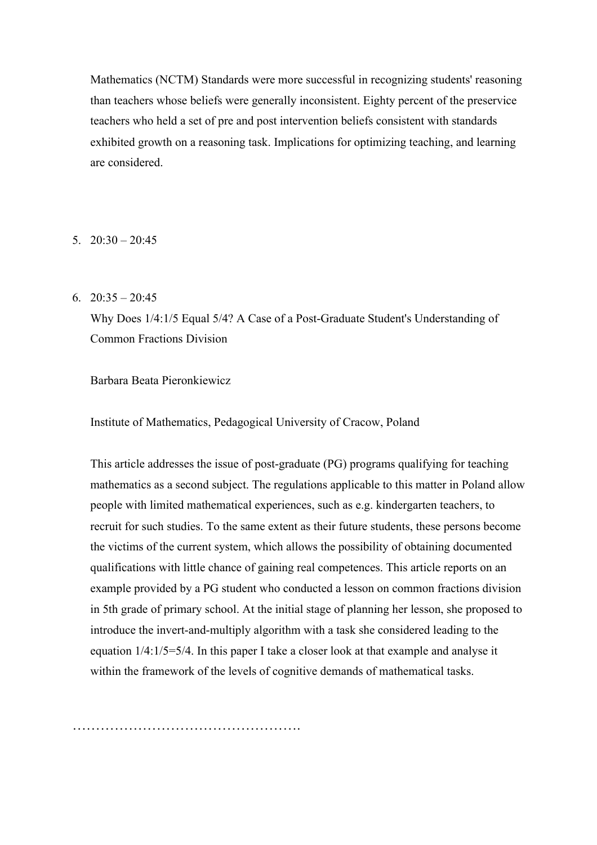Mathematics (NCTM) Standards were more successful in recognizing students' reasoning than teachers whose beliefs were generally inconsistent. Eighty percent of the preservice teachers who held a set of pre and post intervention beliefs consistent with standards exhibited growth on a reasoning task. Implications for optimizing teaching, and learning are considered.

 $5.20 \cdot 30 = 20.45$ 

6.  $20:35 - 20:45$ 

Why Does 1/4:1/5 Equal 5/4? A Case of a Post-Graduate Student's Understanding of Common Fractions Division

Barbara Beata Pieronkiewicz

Institute of Mathematics, Pedagogical University of Cracow, Poland

This article addresses the issue of post-graduate (PG) programs qualifying for teaching mathematics as a second subject. The regulations applicable to this matter in Poland allow people with limited mathematical experiences, such as e.g. kindergarten teachers, to recruit for such studies. To the same extent as their future students, these persons become the victims of the current system, which allows the possibility of obtaining documented qualifications with little chance of gaining real competences. This article reports on an example provided by a PG student who conducted a lesson on common fractions division in 5th grade of primary school. At the initial stage of planning her lesson, she proposed to introduce the invert-and-multiply algorithm with a task she considered leading to the equation 1/4:1/5=5/4. In this paper I take a closer look at that example and analyse it within the framework of the levels of cognitive demands of mathematical tasks.

………………………………………….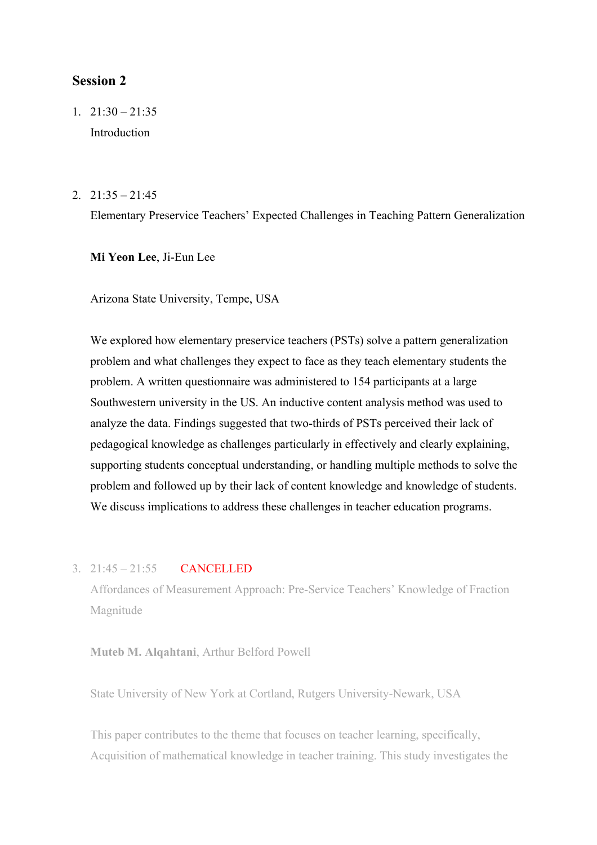# **Session 2**

1.  $21:30 - 21:35$ Introduction

#### $2. \quad 21:35 - 21:45$

Elementary Preservice Teachers' Expected Challenges in Teaching Pattern Generalization

**Mi Yeon Lee**, Ji-Eun Lee

Arizona State University, Tempe, USA

We explored how elementary preservice teachers (PSTs) solve a pattern generalization problem and what challenges they expect to face as they teach elementary students the problem. A written questionnaire was administered to 154 participants at a large Southwestern university in the US. An inductive content analysis method was used to analyze the data. Findings suggested that two-thirds of PSTs perceived their lack of pedagogical knowledge as challenges particularly in effectively and clearly explaining, supporting students conceptual understanding, or handling multiple methods to solve the problem and followed up by their lack of content knowledge and knowledge of students. We discuss implications to address these challenges in teacher education programs.

# 3. 21:45 – 21:55 CANCELLED

Affordances of Measurement Approach: Pre-Service Teachers' Knowledge of Fraction Magnitude

**Muteb M. Alqahtani**, Arthur Belford Powell

State University of New York at Cortland, Rutgers University-Newark, USA

This paper contributes to the theme that focuses on teacher learning, specifically, Acquisition of mathematical knowledge in teacher training. This study investigates the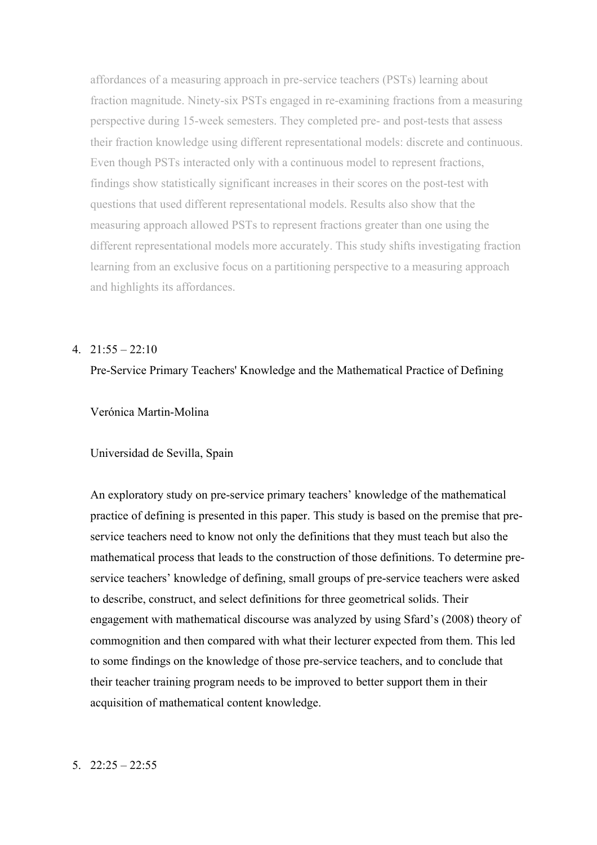affordances of a measuring approach in pre-service teachers (PSTs) learning about fraction magnitude. Ninety-six PSTs engaged in re-examining fractions from a measuring perspective during 15-week semesters. They completed pre- and post-tests that assess their fraction knowledge using different representational models: discrete and continuous. Even though PSTs interacted only with a continuous model to represent fractions, findings show statistically significant increases in their scores on the post-test with questions that used different representational models. Results also show that the measuring approach allowed PSTs to represent fractions greater than one using the different representational models more accurately. This study shifts investigating fraction learning from an exclusive focus on a partitioning perspective to a measuring approach and highlights its affordances.

# $4. \quad 21:55 - 22:10$

# Pre-Service Primary Teachers' Knowledge and the Mathematical Practice of Defining

# Verónica Martin-Molina

#### Universidad de Sevilla, Spain

An exploratory study on pre-service primary teachers' knowledge of the mathematical practice of defining is presented in this paper. This study is based on the premise that preservice teachers need to know not only the definitions that they must teach but also the mathematical process that leads to the construction of those definitions. To determine preservice teachers' knowledge of defining, small groups of pre-service teachers were asked to describe, construct, and select definitions for three geometrical solids. Their engagement with mathematical discourse was analyzed by using Sfard's (2008) theory of commognition and then compared with what their lecturer expected from them. This led to some findings on the knowledge of those pre-service teachers, and to conclude that their teacher training program needs to be improved to better support them in their acquisition of mathematical content knowledge.

#### $5. \quad 22:25 - 22:55$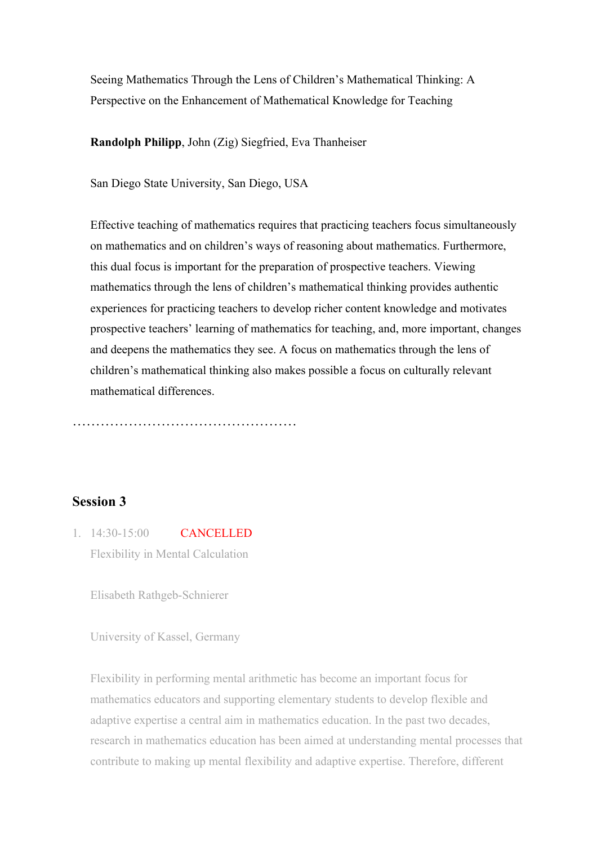Seeing Mathematics Through the Lens of Children's Mathematical Thinking: A Perspective on the Enhancement of Mathematical Knowledge for Teaching

**Randolph Philipp**, John (Zig) Siegfried, Eva Thanheiser

San Diego State University, San Diego, USA

Effective teaching of mathematics requires that practicing teachers focus simultaneously on mathematics and on children's ways of reasoning about mathematics. Furthermore, this dual focus is important for the preparation of prospective teachers. Viewing mathematics through the lens of children's mathematical thinking provides authentic experiences for practicing teachers to develop richer content knowledge and motivates prospective teachers' learning of mathematics for teaching, and, more important, changes and deepens the mathematics they see. A focus on mathematics through the lens of children's mathematical thinking also makes possible a focus on culturally relevant mathematical differences.

…………………………………………

# **Session 3**

1. 14:30-15:00 CANCELLED Flexibility in Mental Calculation

Elisabeth Rathgeb-Schnierer

University of Kassel, Germany

Flexibility in performing mental arithmetic has become an important focus for mathematics educators and supporting elementary students to develop flexible and adaptive expertise a central aim in mathematics education. In the past two decades, research in mathematics education has been aimed at understanding mental processes that contribute to making up mental flexibility and adaptive expertise. Therefore, different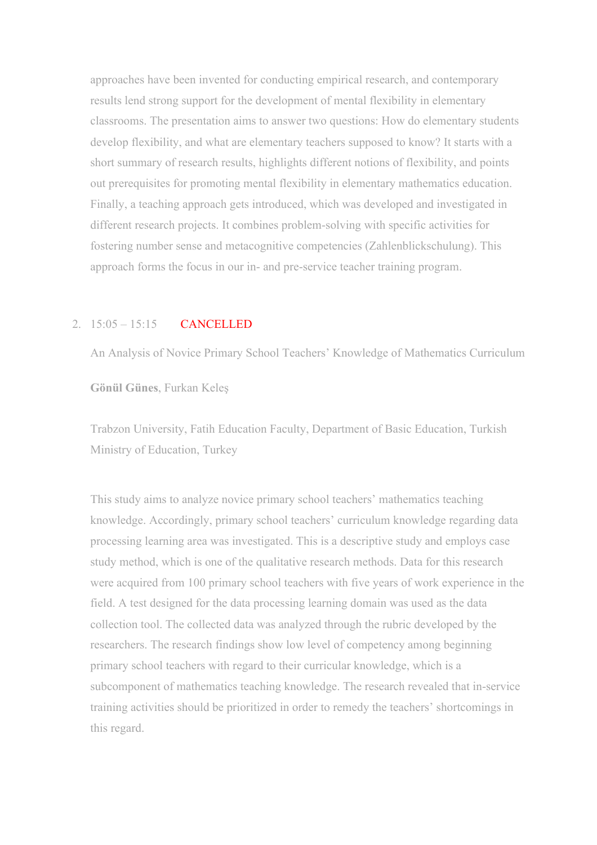approaches have been invented for conducting empirical research, and contemporary results lend strong support for the development of mental flexibility in elementary classrooms. The presentation aims to answer two questions: How do elementary students develop flexibility, and what are elementary teachers supposed to know? It starts with a short summary of research results, highlights different notions of flexibility, and points out prerequisites for promoting mental flexibility in elementary mathematics education. Finally, a teaching approach gets introduced, which was developed and investigated in different research projects. It combines problem-solving with specific activities for fostering number sense and metacognitive competencies (Zahlenblickschulung). This approach forms the focus in our in- and pre-service teacher training program.

# 2. 15:05 – 15:15 CANCELLED

An Analysis of Novice Primary School Teachers' Knowledge of Mathematics Curriculum

**Gönül Günes**, Furkan Keleş

Trabzon University, Fatih Education Faculty, Department of Basic Education, Turkish Ministry of Education, Turkey

This study aims to analyze novice primary school teachers' mathematics teaching knowledge. Accordingly, primary school teachers' curriculum knowledge regarding data processing learning area was investigated. This is a descriptive study and employs case study method, which is one of the qualitative research methods. Data for this research were acquired from 100 primary school teachers with five years of work experience in the field. A test designed for the data processing learning domain was used as the data collection tool. The collected data was analyzed through the rubric developed by the researchers. The research findings show low level of competency among beginning primary school teachers with regard to their curricular knowledge, which is a subcomponent of mathematics teaching knowledge. The research revealed that in-service training activities should be prioritized in order to remedy the teachers' shortcomings in this regard.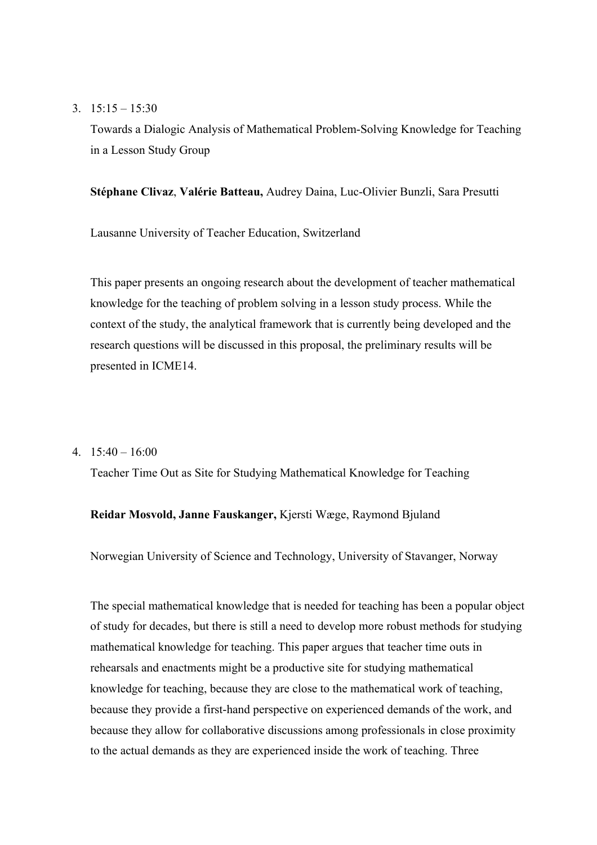#### 3.  $15:15 - 15:30$

Towards a Dialogic Analysis of Mathematical Problem-Solving Knowledge for Teaching in a Lesson Study Group

# **Stéphane Clivaz**, **Valérie Batteau,** Audrey Daina, Luc-Olivier Bunzli, Sara Presutti

Lausanne University of Teacher Education, Switzerland

This paper presents an ongoing research about the development of teacher mathematical knowledge for the teaching of problem solving in a lesson study process. While the context of the study, the analytical framework that is currently being developed and the research questions will be discussed in this proposal, the preliminary results will be presented in ICME14.

### 4.  $15:40 - 16:00$

Teacher Time Out as Site for Studying Mathematical Knowledge for Teaching

## **Reidar Mosvold, Janne Fauskanger,** Kjersti Wæge, Raymond Bjuland

Norwegian University of Science and Technology, University of Stavanger, Norway

The special mathematical knowledge that is needed for teaching has been a popular object of study for decades, but there is still a need to develop more robust methods for studying mathematical knowledge for teaching. This paper argues that teacher time outs in rehearsals and enactments might be a productive site for studying mathematical knowledge for teaching, because they are close to the mathematical work of teaching, because they provide a first-hand perspective on experienced demands of the work, and because they allow for collaborative discussions among professionals in close proximity to the actual demands as they are experienced inside the work of teaching. Three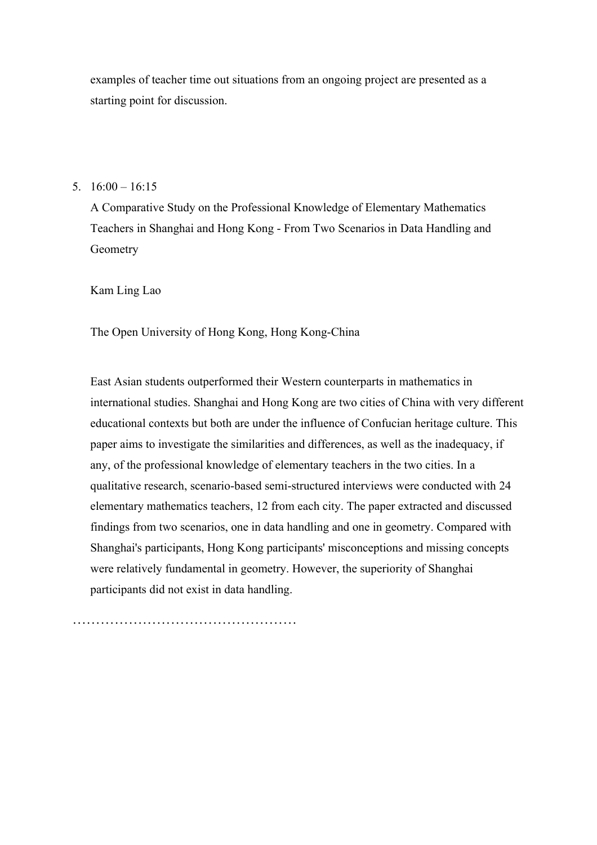examples of teacher time out situations from an ongoing project are presented as a starting point for discussion.

### 5.  $16:00 - 16:15$

A Comparative Study on the Professional Knowledge of Elementary Mathematics Teachers in Shanghai and Hong Kong - From Two Scenarios in Data Handling and Geometry

Kam Ling Lao

The Open University of Hong Kong, Hong Kong-China

East Asian students outperformed their Western counterparts in mathematics in international studies. Shanghai and Hong Kong are two cities of China with very different educational contexts but both are under the influence of Confucian heritage culture. This paper aims to investigate the similarities and differences, as well as the inadequacy, if any, of the professional knowledge of elementary teachers in the two cities. In a qualitative research, scenario-based semi-structured interviews were conducted with 24 elementary mathematics teachers, 12 from each city. The paper extracted and discussed findings from two scenarios, one in data handling and one in geometry. Compared with Shanghai's participants, Hong Kong participants' misconceptions and missing concepts were relatively fundamental in geometry. However, the superiority of Shanghai participants did not exist in data handling.

…………………………………………